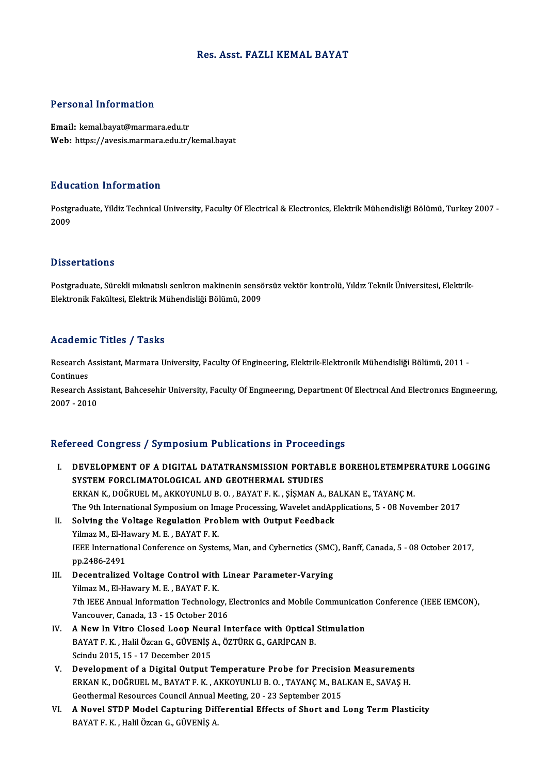## Res. Asst. FAZLI KEMAL BAYAT

# Personal Information

Email: kemal.bayat@marmara.edu.tr Web: https://avesis.marmara.edu.tr/kemal.bayat

### Education Information

**Education Information**<br>Postgraduate, Yildiz Technical University, Faculty Of Electrical & Electronics, Elektrik Mühendisliği Bölümü, Turkey 2007 -<br>2009 naad<br>Postgi<br>2009 Dissertations

Dissertations<br>Postgraduate, Sürekli mıknatıslı senkron makinenin sensörsüz vektör kontrolü, Yıldız Teknik Üniversitesi, Elektrik-<br>Flektronik Fekültesi, Flektrik Mühandisliği Pölümü, 2009 Bassea tatronis<br>Postgraduate, Sürekli mıknatıslı senkron makinenin sensö<br>Elektronik Fakültesi, Elektrik Mühendisliği Bölümü, 2009 Elektronik Fakültesi, Elektrik Mühendisliği Bölümü, 2009<br>Academic Titles / Tasks

Academic Titles / Tasks<br>Research Assistant, Marmara University, Faculty Of Engineering, Elektrik-Elektronik Mühendisliği Bölümü, 2011 -<br>Continues Research A<br>Continues<br>Pesearch A Research Assistant, Marmara University, Faculty Of Engineering, Elektrik-Elektronik Mühendisliği Bölümü, 2011 -<br>Continues<br>Research Assistant, Bahcesehir University, Faculty Of Engıneerıng, Department Of Electrıcal And Elec

Continues<br>Research Assistant, Bahcesehir University, Faculty Of Engıneerıng, Department Of Electrıcal And Electronics Engineering,<br>2007 - 2010

### Refereed Congress / Symposium Publications in Proceedings

- efereed Congress / Symposium Publications in Proceedings<br>I. DEVELOPMENT OF A DIGITAL DATATRANSMISSION PORTABLE BOREHOLETEMPERATURE LOGGING<br>SYSTEM FORCLIMATOLOGICAL AND GEOTHERMAL STUDIES SEGG COMBLOOD TO MILOCENIA A GENERAL MATTECCOCAL DEVELOPMENT OF A DIGITAL DATATRANSMISSION PORTAB<br>SYSTEM FORCLIMATOLOGICAL AND GEOTHERMAL STUDIES<br>ERKAN K. DOČRUEL M. AKKOVINU U B.O., BAXAT E. K. SÍSMAN A SYSTEM FORCLIMATOLOGICAL AND GEOTHERMAL STUDIES<br>ERKAN K., DOĞRUEL M., AKKOYUNLU B. O. , BAYAT F. K. , ŞİŞMAN A., BALKAN E., TAYANÇ M. The 9th International Symposium on Image Processing, Wavelet andApplications, 5 - 08 November 2017 ERKAN K., DOĞRUEL M., AKKOYUNLU B. O. , BAYAT F. K. , ŞİŞMAN A., BATHER 9th International Symposium on Image Processing, Wavelet and Ap.<br>II. Solving the Voltage Regulation Problem with Output Feedback<br>Vilmag M. El Havrawy The 9th International Symposium on Im<br>Solving the Voltage Regulation Pro<br>Yilmaz M., El-Hawary M. E. , BAYAT F. K.<br>JEEE International Conference on System
- Solving the Voltage Regulation Problem with Output Feedback<br>Yilmaz M., El-Hawary M. E. , BAYAT F. K.<br>IEEE International Conference on Systems, Man, and Cybernetics (SMC), Banff, Canada, 5 08 October 2017,<br>nn 2486 2401 Yilmaz M., El-H.<br>IEEE Internatio<br>pp.2486-2491<br>Decentralized IEEE International Conference on Systems, Man, and Cybernetics (SMC)<br>pp.2486-2491<br>III. Decentralized Voltage Control with Linear Parameter-Varying<br>Vilmag M, El Hayany M, E. BAVATE K
- pp.2486-2491<br>III. Decentralized Voltage Control with Linear Parameter-Varying<br>Yilmaz M., El-Hawary M. E., BAYAT F. K. 7th IEEE Annual Information Technology, Electronics and Mobile Communication Conference (IEEE IEMCON), Vancouver, Canada, 13 - 15 October 2016 Th IEEE Annual Information Technology, Electronics and Mobile Communication<br>Vancouver, Canada, 13 - 15 October 2016<br>IV. A New In Vitro Closed Loop Neural Interface with Optical Stimulation<br>RAVATE V. Holil ÖZGOR C. CÜVENIS
- Vancouver, Canada, 13 15 October 2016<br>A New In Vitro Closed Loop Neural Interface with Optical<br>BAYAT F. K. , Halil Özcan G., GÜVENİŞ A., ÖZTÜRK G., GARİPCAN B.<br>Seindy 2015 15 17 Desember 2015 A New In Vitro Closed Loop Neur<br>BAYAT F. K. , Halil Özcan G., GÜVENİŞ ,<br>Scindu 2015, 15 - 17 December 2015<br>Development of a Digital Output 1 BAYAT F. K., Halil Özcan G., GÜVENİŞ A., ÖZTÜRK G., GARİPCAN B.<br>Scindu 2015, 15 - 17 December 2015<br>V. Development of a Digital Output Temperature Probe for Precision Measurements<br>FRKAN K. DOČPUEL M. BAYAT E.K., AKKOVUNU U.
- Scindu 2015, 15 17 December 2015<br>Development of a Digital Output Temperature Probe for Precision Measurement:<br>ERKAN K., DOĞRUEL M., BAYAT F. K. , AKKOYUNLU B. O. , TAYANÇ M., BALKAN E., SAVAŞ H.<br>Cestbermal Beseurses Coun Development of a Digital Output Temperature Probe for Precision<br>ERKAN K., DOĞRUEL M., BAYAT F. K. , AKKOYUNLU B. O. , TAYANÇ M., BAI<br>Geothermal Resources Council Annual Meeting, 20 - 23 September 2015<br>A Novel STDP Model Ce ERKAN K., DOĞRUEL M., BAYAT F. K. , AKKOYUNLU B. O. , TAYANÇ M., BALKAN E., SAVAŞ H.<br>Geothermal Resources Council Annual Meeting, 20 - 23 September 2015<br>VI. A Novel STDP Model Capturing Differential Effects of Short and Lo
- Geothermal Resources Council Annual I<br><mark>A Novel STDP Model Capturing Dif</mark>i<br>BAYAT F. K. , Halil Özcan G., GÜVENİŞ A.